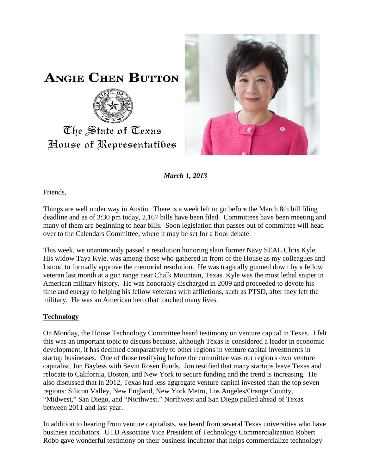

**ANGIE CHEN BUTTON** 



## The State of Texas House of Representatibes

*March 1, 2013*

Friends,

Things are well under way in Austin. There is a week left to go before the March 8th bill filing deadline and as of 3:30 pm today, 2,167 bills have been filed. Committees have been meeting and many of them are beginning to hear bills. Soon legislation that passes out of committee will head over to the Calendars Committee, where it may be set for a floor debate.

This week, we unanimously passed a resolution honoring slain former Navy SEAL Chris Kyle. His widow Taya Kyle, was among those who gathered in front of the House as my colleagues and I stood to formally approve the memorial resolution. He was tragically gunned down by a fellow veteran last month at a gun range near Chalk Mountain, Texas. Kyle was the most lethal sniper in American military history. He was honorably discharged in 2009 and proceeded to devote his time and energy to helping his fellow veterans with afflictions, such as PTSD, after they left the military. He was an American hero that touched many lives.

## **Technology**

On Monday, the House Technology Committee heard testimony on venture capital in Texas. I felt this was an important topic to discuss because, although Texas is considered a leader in economic development, it has declined comparatively to other regions in venture capital investments in startup businesses. One of those testifying before the committee was our region's own venture capitalist, Jon Bayless with Sevin Rosen Funds. Jon testified that many startups leave Texas and relocate to California, Boston, and New York to secure funding and the trend is increasing. He also discussed that in 2012, Texas had less aggregate venture capital invested than the top seven regions: Silicon Valley, New England, New York Metro, Los Angeles/Orange County, "Midwest," San Diego, and "Northwest." Northwest and San Diego pulled ahead of Texas between 2011 and last year.

In addition to hearing from venture capitalists, we heard from several Texas universities who have business incubators. UTD Associate Vice President of Technology Commercialization Robert Robb gave wonderful testimony on their business incubator that helps commercialize technology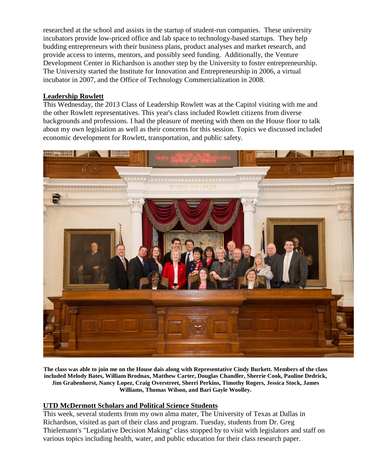researched at the school and assists in the startup of student-run companies. These university incubators provide low-priced office and lab space to technology-based startups. They help budding entrepreneurs with their business plans, product analyses and market research, and provide access to interns, mentors, and possibly seed funding. Additionally, the Venture Development Center in Richardson is another step by the University to foster entrepreneurship. The University started the Institute for Innovation and Entrepreneurship in 2006, a virtual incubator in 2007, and the Office of Technology Commercialization in 2008.

## **Leadership Rowlett**

This Wednesday, the 2013 Class of Leadership Rowlett was at the Capitol visiting with me and the other Rowlett representatives. This year's class included Rowlett citizens from diverse backgrounds and professions. I had the pleasure of meeting with them on the House floor to talk about my own legislation as well as their concerns for this session. Topics we discussed included economic development for Rowlett, transportation, and public safety.



**The class was able to join me on the House dais along with Representative Cindy Burkett. Members of the class included Melody Bates, William Brodnax, Matthew Carter, Douglas Chandler, Sherrie Cook, Pauline Dedrick, Jim Grabenhorst, Nancy Lopez, Craig Overstreet, Sherri Perkins, Timothy Rogers, Jessica Stock, James Williams, Thomas Wilson, and Bari Gayle Woolley.**

## **UTD McDermott Scholars and Political Science Students**

This week, several students from my own alma mater, The University of Texas at Dallas in Richardson, visited as part of their class and program. Tuesday, students from Dr. Greg Thielemann's "Legislative Decision Making" class stopped by to visit with legislators and staff on various topics including health, water, and public education for their class research paper.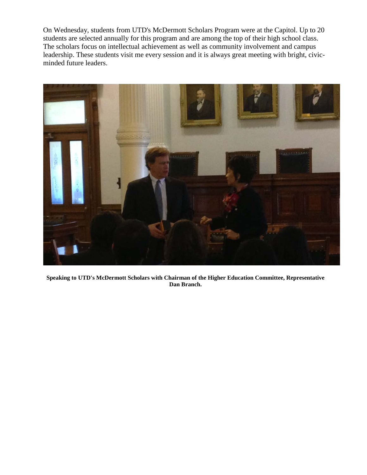On Wednesday, students from UTD's McDermott Scholars Program were at the Capitol. Up to 20 students are selected annually for this program and are among the top of their high school class. The scholars focus on intellectual achievement as well as community involvement and campus leadership. These students visit me every session and it is always great meeting with bright, civicminded future leaders.



**Speaking to UTD's McDermott Scholars with Chairman of the Higher Education Committee, Representative Dan Branch.**